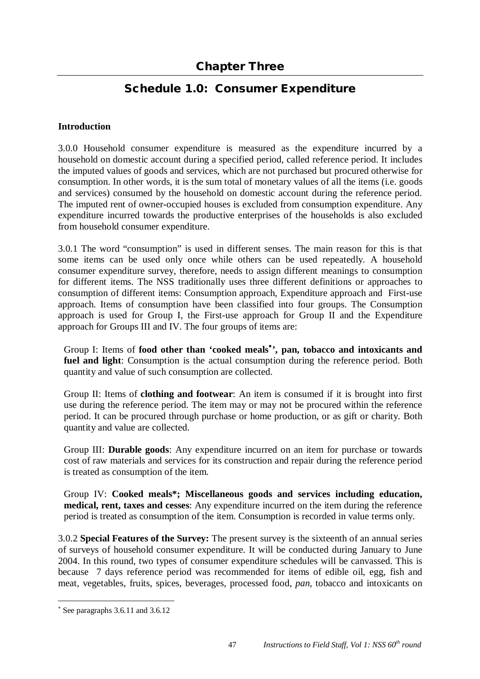## **Schedule 1.0: Consumer Expenditure**

## **Introduction**

3.0.0 Household consumer expenditure is measured as the expenditure incurred by a household on domestic account during a specified period, called reference period. It includes the imputed values of goods and services, which are not purchased but procured otherwise for consumption. In other words, it is the sum total of monetary values of all the items (i.e. goods and services) consumed by the household on domestic account during the reference period. The imputed rent of owner-occupied houses is excluded from consumption expenditure. Any expenditure incurred towards the productive enterprises of the households is also excluded from household consumer expenditure.

3.0.1 The word "consumption" is used in different senses. The main reason for this is that some items can be used only once while others can be used repeatedly. A household consumer expenditure survey, therefore, needs to assign different meanings to consumption for different items. The NSS traditionally uses three different definitions or approaches to consumption of different items: Consumption approach, Expenditure approach and First-use approach. Items of consumption have been classified into four groups. The Consumption approach is used for Group I, the First-use approach for Group II and the Expenditure approach for Groups III and IV. The four groups of items are:

Group I: Items of **food other than 'cooked meals ', pan, tobacco and intoxicants and fuel and light**: Consumption is the actual consumption during the reference period. Both quantity and value of such consumption are collected.

Group II: Items of **clothing and footwear**: An item is consumed if it is brought into first use during the reference period. The item may or may not be procured within the reference period. It can be procured through purchase or home production, or as gift or charity. Both quantity and value are collected.

Group III: **Durable goods**: Any expenditure incurred on an item for purchase or towards cost of raw materials and services for its construction and repair during the reference period is treated as consumption of the item.

Group IV: **Cooked meals\*; Miscellaneous goods and services including education, medical, rent, taxes and cesses**: Any expenditure incurred on the item during the reference period is treated as consumption of the item. Consumption is recorded in value terms only.

3.0.2 **Special Features of the Survey:** The present survey is the sixteenth of an annual series of surveys of household consumer expenditure. It will be conducted during January to June 2004. In this round, two types of consumer expenditure schedules will be canvassed. This is because 7 days reference period was recommended for items of edible oil, egg, fish and meat, vegetables, fruits, spices, beverages, processed food, *pan*, tobacco and intoxicants on

 $\overline{a}$ 

See paragraphs 3.6.11 and 3.6.12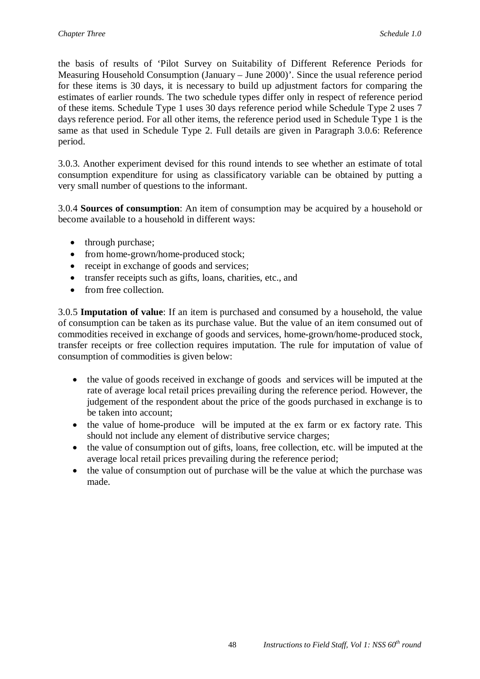the basis of results of 'Pilot Survey on Suitability of Different Reference Periods for Measuring Household Consumption (January – June 2000)'. Since the usual reference period for these items is 30 days, it is necessary to build up adjustment factors for comparing the estimates of earlier rounds. The two schedule types differ only in respect of reference period of these items. Schedule Type 1 uses 30 days reference period while Schedule Type 2 uses 7 days reference period. For all other items, the reference period used in Schedule Type 1 is the same as that used in Schedule Type 2. Full details are given in Paragraph 3.0.6: Reference period.

3.0.3. Another experiment devised for this round intends to see whether an estimate of total consumption expenditure for using as classificatory variable can be obtained by putting a very small number of questions to the informant.

3.0.4 **Sources of consumption**: An item of consumption may be acquired by a household or become available to a household in different ways:

- through purchase;
- from home-grown/home-produced stock;
- receipt in exchange of goods and services;
- transfer receipts such as gifts, loans, charities, etc., and
- from free collection.

3.0.5 **Imputation of value**: If an item is purchased and consumed by a household, the value of consumption can be taken as its purchase value. But the value of an item consumed out of commodities received in exchange of goods and services, home-grown/home-produced stock, transfer receipts or free collection requires imputation. The rule for imputation of value of consumption of commodities is given below:

- the value of goods received in exchange of goods and services will be imputed at the rate of average local retail prices prevailing during the reference period. However, the judgement of the respondent about the price of the goods purchased in exchange is to be taken into account;
- the value of home-produce will be imputed at the ex farm or ex factory rate. This should not include any element of distributive service charges;
- the value of consumption out of gifts, loans, free collection, etc. will be imputed at the average local retail prices prevailing during the reference period;
- the value of consumption out of purchase will be the value at which the purchase was made.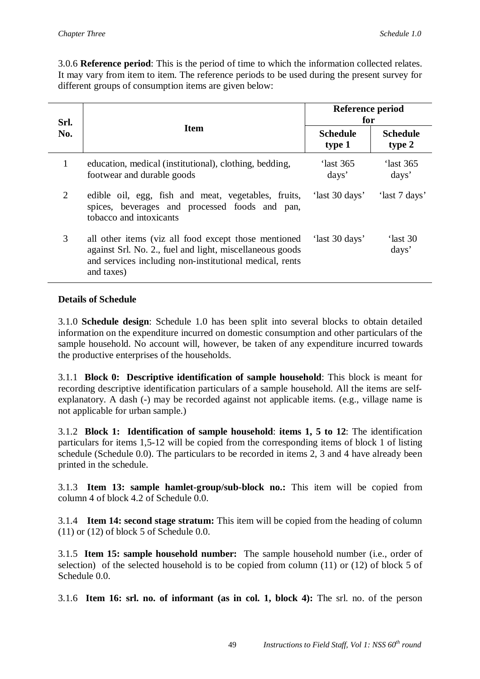3.0.6 **Reference period**: This is the period of time to which the information collected relates. It may vary from item to item. The reference periods to be used during the present survey for different groups of consumption items are given below:

| Srl.<br>No.    |                                                                                                                                                                                           | Reference period<br>for   |                           |
|----------------|-------------------------------------------------------------------------------------------------------------------------------------------------------------------------------------------|---------------------------|---------------------------|
|                | <b>Item</b>                                                                                                                                                                               | <b>Schedule</b><br>type 1 | <b>Schedule</b><br>type 2 |
| $\mathbf{1}$   | education, medical (institutional), clothing, bedding,<br>footwear and durable goods                                                                                                      | 'last 365<br>days'        | 'last 365<br>days'        |
| $\overline{2}$ | edible oil, egg, fish and meat, vegetables, fruits,<br>spices, beverages and processed foods and pan,<br>tobacco and intoxicants                                                          | 'last 30 days'            | 'last 7 days'             |
| 3              | all other items (viz all food except those mentioned<br>against Srl. No. 2., fuel and light, miscellaneous goods<br>and services including non-institutional medical, rents<br>and taxes) | 'last 30 days'            | 'last 30<br>days'         |

## **Details of Schedule**

3.1.0 **Schedule design**: Schedule 1.0 has been split into several blocks to obtain detailed information on the expenditure incurred on domestic consumption and other particulars of the sample household. No account will, however, be taken of any expenditure incurred towards the productive enterprises of the households.

3.1.1 **Block 0: Descriptive identification of sample household**: This block is meant for recording descriptive identification particulars of a sample household. All the items are selfexplanatory. A dash (-) may be recorded against not applicable items. (e.g., village name is not applicable for urban sample.)

3.1.2 **Block 1: Identification of sample household**: **items 1, 5 to 12**: The identification particulars for items 1,5-12 will be copied from the corresponding items of block 1 of listing schedule (Schedule 0.0). The particulars to be recorded in items 2, 3 and 4 have already been printed in the schedule.

3.1.3 **Item 13: sample hamlet-group/sub-block no.:** This item will be copied from column 4 of block 4.2 of Schedule 0.0.

3.1.4 **Item 14: second stage stratum:** This item will be copied from the heading of column  $(11)$  or  $(12)$  of block 5 of Schedule 0.0.

3.1.5 **Item 15: sample household number:** The sample household number (i.e., order of selection) of the selected household is to be copied from column (11) or (12) of block 5 of Schedule 0.0.

3.1.6 **Item 16: srl. no. of informant (as in col. 1, block 4):** The srl. no. of the person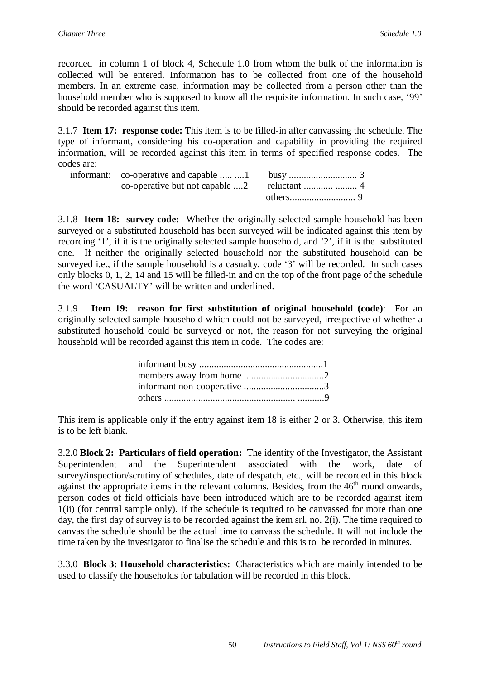recorded in column 1 of block 4, Schedule 1.0 from whom the bulk of the information is collected will be entered. Information has to be collected from one of the household members. In an extreme case, information may be collected from a person other than the household member who is supposed to know all the requisite information. In such case, '99' should be recorded against this item.

3.1.7 **Item 17: response code:** This item is to be filled-in after canvassing the schedule. The type of informant, considering his co-operation and capability in providing the required information, will be recorded against this item in terms of specified response codes. The codes are:

3.1.8 **Item 18: survey code:** Whether the originally selected sample household has been surveyed or a substituted household has been surveyed will be indicated against this item by recording '1', if it is the originally selected sample household, and '2', if it is the substituted one. If neither the originally selected household nor the substituted household can be surveyed i.e., if the sample household is a casualty, code '3' will be recorded. In such cases only blocks 0, 1, 2, 14 and 15 will be filled-in and on the top of the front page of the schedule the word 'CASUALTY' will be written and underlined.

3.1.9 **Item 19: reason for first substitution of original household (code)**: For an originally selected sample household which could not be surveyed, irrespective of whether a substituted household could be surveyed or not, the reason for not surveying the original household will be recorded against this item in code. The codes are:

This item is applicable only if the entry against item 18 is either 2 or 3. Otherwise, this item is to be left blank.

3.2.0 **Block 2: Particulars of field operation:** The identity of the Investigator, the Assistant Superintendent and the Superintendent associated with the work, date of survey/inspection/scrutiny of schedules, date of despatch, etc., will be recorded in this block against the appropriate items in the relevant columns. Besides, from the  $46<sup>th</sup>$  round onwards, person codes of field officials have been introduced which are to be recorded against item 1(ii) (for central sample only). If the schedule is required to be canvassed for more than one day, the first day of survey is to be recorded against the item srl. no. 2(i). The time required to canvas the schedule should be the actual time to canvass the schedule. It will not include the time taken by the investigator to finalise the schedule and this is to be recorded in minutes.

3.3.0 **Block 3: Household characteristics:** Characteristics which are mainly intended to be used to classify the households for tabulation will be recorded in this block.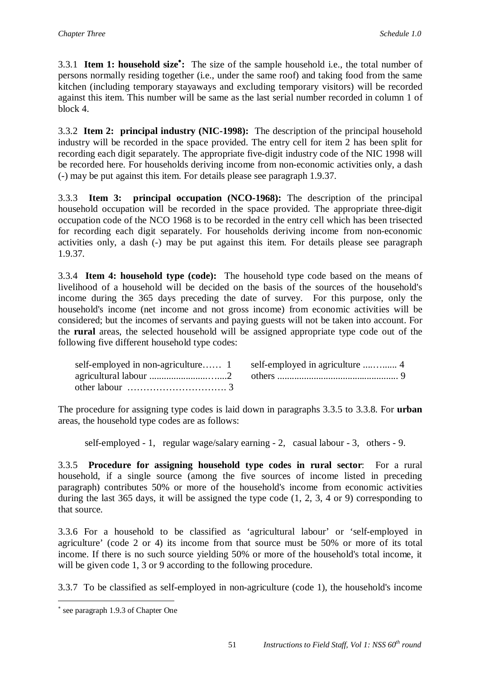3.3.1 **Item 1: household size :** The size of the sample household i.e., the total number of persons normally residing together (i.e., under the same roof) and taking food from the same kitchen (including temporary stayaways and excluding temporary visitors) will be recorded against this item. This number will be same as the last serial number recorded in column 1 of block 4.

3.3.2 **Item 2: principal industry (NIC-1998):** The description of the principal household industry will be recorded in the space provided. The entry cell for item 2 has been split for recording each digit separately. The appropriate five-digit industry code of the NIC 1998 will be recorded here. For households deriving income from non-economic activities only, a dash (-) may be put against this item. For details please see paragraph 1.9.37.

3.3.3 **Item 3: principal occupation (NCO-1968):** The description of the principal household occupation will be recorded in the space provided. The appropriate three-digit occupation code of the NCO 1968 is to be recorded in the entry cell which has been trisected for recording each digit separately. For households deriving income from non-economic activities only, a dash (-) may be put against this item. For details please see paragraph 1.9.37.

3.3.4 **Item 4: household type (code):** The household type code based on the means of livelihood of a household will be decided on the basis of the sources of the household's income during the 365 days preceding the date of survey. For this purpose, only the household's income (net income and not gross income) from economic activities will be considered; but the incomes of servants and paying guests will not be taken into account. For the **rural** areas, the selected household will be assigned appropriate type code out of the following five different household type codes:

|                                                                | self-employed in non-agriculture 1 self-employed in agriculture  4 |
|----------------------------------------------------------------|--------------------------------------------------------------------|
|                                                                |                                                                    |
| other labour $\dots \dots \dots \dots \dots \dots \dots \dots$ |                                                                    |

The procedure for assigning type codes is laid down in paragraphs 3.3.5 to 3.3.8. For **urban** areas, the household type codes are as follows:

self-employed - 1, regular wage/salary earning - 2, casual labour - 3, others - 9.

3.3.5 **Procedure for assigning household type codes in rural sector**: For a rural household, if a single source (among the five sources of income listed in preceding paragraph) contributes 50% or more of the household's income from economic activities during the last 365 days, it will be assigned the type code (1, 2, 3, 4 or 9) corresponding to that source.

3.3.6 For a household to be classified as 'agricultural labour' or 'self-employed in agriculture' (code 2 or 4) its income from that source must be 50% or more of its total income. If there is no such source yielding 50% or more of the household's total income, it will be given code 1, 3 or 9 according to the following procedure.

3.3.7 To be classified as self-employed in non-agriculture (code 1), the household's income

 $\overline{a}$ 

<sup>\*</sup> see paragraph 1.9.3 of Chapter One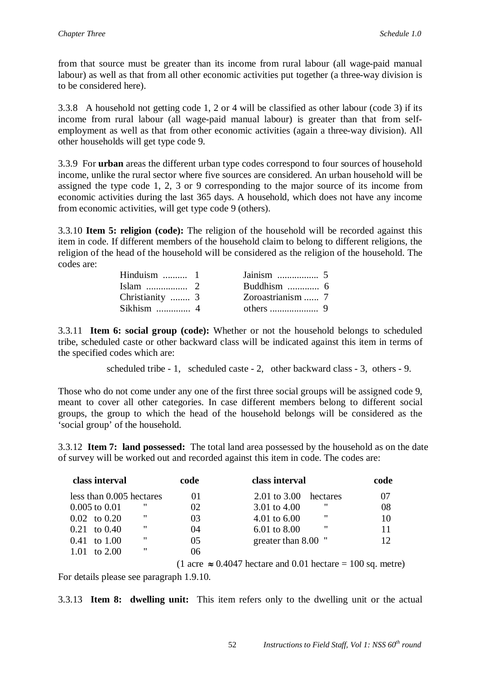from that source must be greater than its income from rural labour (all wage-paid manual labour) as well as that from all other economic activities put together (a three-way division is to be considered here).

3.3.8 A household not getting code 1, 2 or 4 will be classified as other labour (code 3) if its income from rural labour (all wage-paid manual labour) is greater than that from selfemployment as well as that from other economic activities (again a three-way division). All other households will get type code 9.

3.3.9 For **urban** areas the different urban type codes correspond to four sources of household income, unlike the rural sector where five sources are considered. An urban household will be assigned the type code 1, 2, 3 or 9 corresponding to the major source of its income from economic activities during the last 365 days. A household, which does not have any income from economic activities, will get type code 9 (others).

3.3.10 **Item 5: religion (code):** The religion of the household will be recorded against this item in code. If different members of the household claim to belong to different religions, the religion of the head of the household will be considered as the religion of the household. The codes are:

| Hinduism $\dots \dots \dots 1$ |                   |  |
|--------------------------------|-------------------|--|
|                                |                   |  |
| Christianity  3                | Zoroastrianism  7 |  |
|                                |                   |  |

3.3.11 **Item 6: social group (code):** Whether or not the household belongs to scheduled tribe, scheduled caste or other backward class will be indicated against this item in terms of the specified codes which are:

scheduled tribe - 1, scheduled caste - 2, other backward class - 3, others - 9.

Those who do not come under any one of the first three social groups will be assigned code 9, meant to cover all other categories. In case different members belong to different social groups, the group to which the head of the household belongs will be considered as the 'social group' of the household.

3.3.12 **Item 7: land possessed:** The total land area possessed by the household as on the date of survey will be worked out and recorded against this item in code. The codes are:

| code | class interval               | code |
|------|------------------------------|------|
| 01   | 2.01 to 3.00<br>hectares     | 07   |
| 02   | "<br>3.01 to 4.00            | 08   |
| 03   | "<br>4.01 to $6.00$          |      |
| 04   | "<br>$6.01 \text{ to } 8.00$ | 11   |
| 05   | greater than 8.00 "          |      |
| 06   |                              |      |
|      |                              |      |

(1 acre  $\approx 0.4047$  hectare and 0.01 hectare = 100 sq. metre)

For details please see paragraph 1.9.10.

3.3.13 **Item 8: dwelling unit:** This item refers only to the dwelling unit or the actual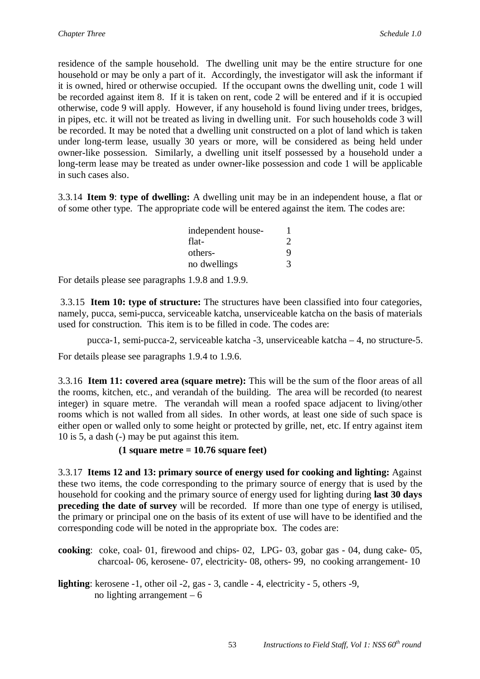residence of the sample household. The dwelling unit may be the entire structure for one household or may be only a part of it. Accordingly, the investigator will ask the informant if it is owned, hired or otherwise occupied. If the occupant owns the dwelling unit, code 1 will be recorded against item 8. If it is taken on rent, code 2 will be entered and if it is occupied otherwise, code 9 will apply. However, if any household is found living under trees, bridges, in pipes, etc. it will not be treated as living in dwelling unit. For such households code 3 will be recorded. It may be noted that a dwelling unit constructed on a plot of land which is taken under long-term lease, usually 30 years or more, will be considered as being held under owner-like possession. Similarly, a dwelling unit itself possessed by a household under a long-term lease may be treated as under owner-like possession and code 1 will be applicable in such cases also.

3.3.14 **Item 9**: **type of dwelling:** A dwelling unit may be in an independent house, a flat or of some other type. The appropriate code will be entered against the item. The codes are:

| independent house- |                       |
|--------------------|-----------------------|
| flat-              | $\mathcal{D}_{\cdot}$ |
| others-            | Q                     |
| no dwellings       | 3                     |

For details please see paragraphs 1.9.8 and 1.9.9.

3.3.15 **Item 10: type of structure:** The structures have been classified into four categories, namely, pucca, semi-pucca, serviceable katcha, unserviceable katcha on the basis of materials used for construction. This item is to be filled in code. The codes are:

pucca-1, semi-pucca-2, serviceable katcha -3, unserviceable katcha – 4, no structure-5.

For details please see paragraphs 1.9.4 to 1.9.6.

3.3.16 **Item 11: covered area (square metre):** This will be the sum of the floor areas of all the rooms, kitchen, etc., and verandah of the building. The area will be recorded (to nearest integer) in square metre. The verandah will mean a roofed space adjacent to living/other rooms which is not walled from all sides. In other words, at least one side of such space is either open or walled only to some height or protected by grille, net, etc. If entry against item 10 is 5, a dash (-) may be put against this item.

## **(1 square metre = 10.76 square feet)**

3.3.17 **Items 12 and 13: primary source of energy used for cooking and lighting:** Against these two items, the code corresponding to the primary source of energy that is used by the household for cooking and the primary source of energy used for lighting during **last 30 days preceding the date of survey** will be recorded. If more than one type of energy is utilised, the primary or principal one on the basis of its extent of use will have to be identified and the corresponding code will be noted in the appropriate box. The codes are:

- **cooking**: coke, coal- 01, firewood and chips- 02, LPG- 03, gobar gas 04, dung cake- 05, charcoal- 06, kerosene- 07, electricity- 08, others- 99, no cooking arrangement- 10
- **lighting**: kerosene -1, other oil -2, gas 3, candle 4, electricity 5, others -9, no lighting arrangement  $-6$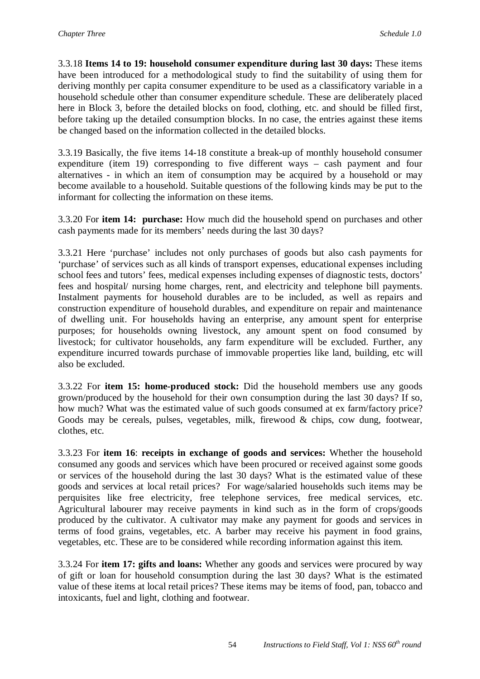3.3.18 **Items 14 to 19: household consumer expenditure during last 30 days:** These items have been introduced for a methodological study to find the suitability of using them for deriving monthly per capita consumer expenditure to be used as a classificatory variable in a household schedule other than consumer expenditure schedule. These are deliberately placed here in Block 3, before the detailed blocks on food, clothing, etc. and should be filled first, before taking up the detailed consumption blocks. In no case, the entries against these items be changed based on the information collected in the detailed blocks.

3.3.19 Basically, the five items 14-18 constitute a break-up of monthly household consumer expenditure (item 19) corresponding to five different ways – cash payment and four alternatives - in which an item of consumption may be acquired by a household or may become available to a household. Suitable questions of the following kinds may be put to the informant for collecting the information on these items.

3.3.20 For **item 14: purchase:** How much did the household spend on purchases and other cash payments made for its members' needs during the last 30 days?

3.3.21 Here 'purchase' includes not only purchases of goods but also cash payments for 'purchase' of services such as all kinds of transport expenses, educational expenses including school fees and tutors' fees, medical expenses including expenses of diagnostic tests, doctors' fees and hospital/ nursing home charges, rent, and electricity and telephone bill payments. Instalment payments for household durables are to be included, as well as repairs and construction expenditure of household durables, and expenditure on repair and maintenance of dwelling unit. For households having an enterprise, any amount spent for enterprise purposes; for households owning livestock, any amount spent on food consumed by livestock; for cultivator households, any farm expenditure will be excluded. Further, any expenditure incurred towards purchase of immovable properties like land, building, etc will also be excluded.

3.3.22 For **item 15: home-produced stock:** Did the household members use any goods grown/produced by the household for their own consumption during the last 30 days? If so, how much? What was the estimated value of such goods consumed at ex farm/factory price? Goods may be cereals, pulses, vegetables, milk, firewood & chips, cow dung, footwear, clothes, etc.

3.3.23 For **item 16**: **receipts in exchange of goods and services:** Whether the household consumed any goods and services which have been procured or received against some goods or services of the household during the last 30 days? What is the estimated value of these goods and services at local retail prices? For wage/salaried households such items may be perquisites like free electricity, free telephone services, free medical services, etc. Agricultural labourer may receive payments in kind such as in the form of crops/goods produced by the cultivator. A cultivator may make any payment for goods and services in terms of food grains, vegetables, etc. A barber may receive his payment in food grains, vegetables, etc. These are to be considered while recording information against this item.

3.3.24 For **item 17: gifts and loans:** Whether any goods and services were procured by way of gift or loan for household consumption during the last 30 days? What is the estimated value of these items at local retail prices? These items may be items of food, pan, tobacco and intoxicants, fuel and light, clothing and footwear.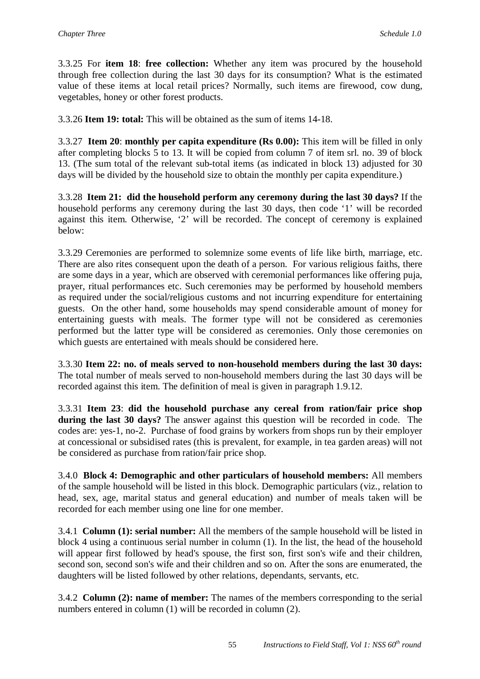3.3.25 For **item 18**: **free collection:** Whether any item was procured by the household through free collection during the last 30 days for its consumption? What is the estimated value of these items at local retail prices? Normally, such items are firewood, cow dung, vegetables, honey or other forest products.

3.3.26 **Item 19: total:** This will be obtained as the sum of items 14-18.

3.3.27 **Item 20**: **monthly per capita expenditure (Rs 0.00):** This item will be filled in only after completing blocks 5 to 13. It will be copied from column 7 of item srl. no. 39 of block 13. (The sum total of the relevant sub-total items (as indicated in block 13) adjusted for 30 days will be divided by the household size to obtain the monthly per capita expenditure.)

3.3.28 **Item 21: did the household perform any ceremony during the last 30 days?** If the household performs any ceremony during the last 30 days, then code '1' will be recorded against this item. Otherwise, '2' will be recorded. The concept of ceremony is explained below:

3.3.29 Ceremonies are performed to solemnize some events of life like birth, marriage, etc. There are also rites consequent upon the death of a person. For various religious faiths, there are some days in a year, which are observed with ceremonial performances like offering puja, prayer, ritual performances etc. Such ceremonies may be performed by household members as required under the social/religious customs and not incurring expenditure for entertaining guests. On the other hand, some households may spend considerable amount of money for entertaining guests with meals. The former type will not be considered as ceremonies performed but the latter type will be considered as ceremonies. Only those ceremonies on which guests are entertained with meals should be considered here.

3.3.30 **Item 22: no. of meals served to non-household members during the last 30 days:**  The total number of meals served to non-household members during the last 30 days will be recorded against this item. The definition of meal is given in paragraph 1.9.12.

3.3.31 **Item 23**: **did the household purchase any cereal from ration/fair price shop during the last 30 days?** The answer against this question will be recorded in code. The codes are: yes-1, no-2. Purchase of food grains by workers from shops run by their employer at concessional or subsidised rates (this is prevalent, for example, in tea garden areas) will not be considered as purchase from ration/fair price shop.

3.4.0 **Block 4: Demographic and other particulars of household members:** All members of the sample household will be listed in this block. Demographic particulars (viz., relation to head, sex, age, marital status and general education) and number of meals taken will be recorded for each member using one line for one member.

3.4.1 **Column (1): serial number:** All the members of the sample household will be listed in block 4 using a continuous serial number in column (1). In the list, the head of the household will appear first followed by head's spouse, the first son, first son's wife and their children, second son, second son's wife and their children and so on. After the sons are enumerated, the daughters will be listed followed by other relations, dependants, servants, etc.

3.4.2 **Column (2): name of member:** The names of the members corresponding to the serial numbers entered in column (1) will be recorded in column (2).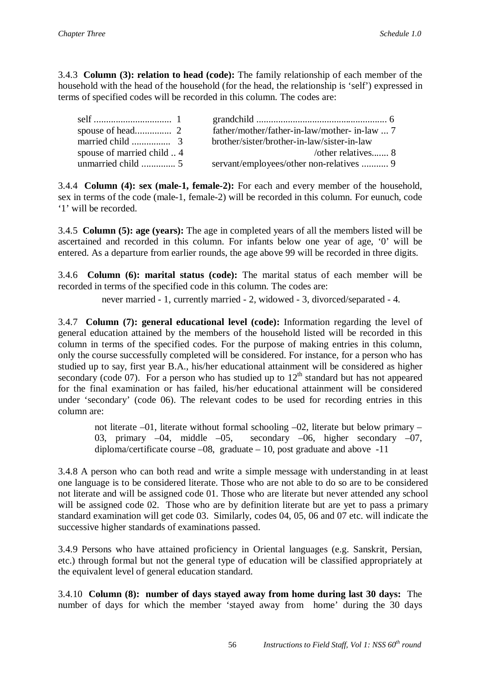3.4.3 **Column (3): relation to head (code):** The family relationship of each member of the household with the head of the household (for the head, the relationship is 'self') expressed in terms of specified codes will be recorded in this column. The codes are:

|                          | father/mother/father-in-law/mother-in-law  7 |
|--------------------------|----------------------------------------------|
|                          | brother/sister/brother-in-law/sister-in-law  |
| spouse of married child4 | /other relatives 8                           |
|                          | servant/employees/other non-relatives  9     |

3.4.4 **Column (4): sex (male-1, female-2):** For each and every member of the household, sex in terms of the code (male-1, female-2) will be recorded in this column. For eunuch, code '1' will be recorded.

3.4.5 **Column (5): age (years):** The age in completed years of all the members listed will be ascertained and recorded in this column. For infants below one year of age, '0' will be entered. As a departure from earlier rounds, the age above 99 will be recorded in three digits.

3.4.6 **Column (6): marital status (code):** The marital status of each member will be recorded in terms of the specified code in this column. The codes are:

never married - 1, currently married - 2, widowed - 3, divorced/separated - 4.

3.4.7 **Column (7): general educational level (code):** Information regarding the level of general education attained by the members of the household listed will be recorded in this column in terms of the specified codes. For the purpose of making entries in this column, only the course successfully completed will be considered. For instance, for a person who has studied up to say, first year B.A., his/her educational attainment will be considered as higher secondary (code 07). For a person who has studied up to  $12<sup>th</sup>$  standard but has not appeared for the final examination or has failed, his/her educational attainment will be considered under 'secondary' (code 06). The relevant codes to be used for recording entries in this column are:

not literate –01, literate without formal schooling –02, literate but below primary – 03, primary –04, middle –05, secondary –06, higher secondary –07, diploma/certificate course  $-08$ , graduate  $-10$ , post graduate and above  $-11$ 

3.4.8 A person who can both read and write a simple message with understanding in at least one language is to be considered literate. Those who are not able to do so are to be considered not literate and will be assigned code 01. Those who are literate but never attended any school will be assigned code 02. Those who are by definition literate but are yet to pass a primary standard examination will get code 03. Similarly, codes 04, 05, 06 and 07 etc. will indicate the successive higher standards of examinations passed.

3.4.9 Persons who have attained proficiency in Oriental languages (e.g. Sanskrit, Persian, etc.) through formal but not the general type of education will be classified appropriately at the equivalent level of general education standard.

3.4.10 **Column (8): number of days stayed away from home during last 30 days:** The number of days for which the member 'stayed away from home' during the 30 days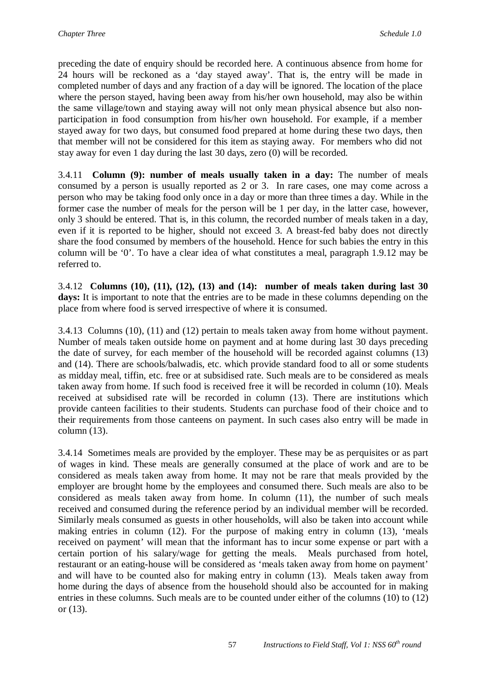preceding the date of enquiry should be recorded here. A continuous absence from home for 24 hours will be reckoned as a 'day stayed away'. That is, the entry will be made in completed number of days and any fraction of a day will be ignored. The location of the place where the person stayed, having been away from his/her own household, may also be within the same village/town and staying away will not only mean physical absence but also nonparticipation in food consumption from his/her own household. For example, if a member stayed away for two days, but consumed food prepared at home during these two days, then that member will not be considered for this item as staying away. For members who did not stay away for even 1 day during the last 30 days, zero (0) will be recorded.

3.4.11 **Column (9): number of meals usually taken in a day:** The number of meals consumed by a person is usually reported as 2 or 3. In rare cases, one may come across a person who may be taking food only once in a day or more than three times a day. While in the former case the number of meals for the person will be 1 per day, in the latter case, however, only 3 should be entered. That is, in this column, the recorded number of meals taken in a day, even if it is reported to be higher, should not exceed 3. A breast-fed baby does not directly share the food consumed by members of the household. Hence for such babies the entry in this column will be '0'. To have a clear idea of what constitutes a meal, paragraph 1.9.12 may be referred to.

3.4.12 **Columns (10), (11), (12), (13) and (14): number of meals taken during last 30 days:** It is important to note that the entries are to be made in these columns depending on the place from where food is served irrespective of where it is consumed.

3.4.13 Columns (10), (11) and (12) pertain to meals taken away from home without payment. Number of meals taken outside home on payment and at home during last 30 days preceding the date of survey, for each member of the household will be recorded against columns (13) and (14). There are schools/balwadis, etc. which provide standard food to all or some students as midday meal, tiffin, etc. free or at subsidised rate. Such meals are to be considered as meals taken away from home. If such food is received free it will be recorded in column (10). Meals received at subsidised rate will be recorded in column (13). There are institutions which provide canteen facilities to their students. Students can purchase food of their choice and to their requirements from those canteens on payment. In such cases also entry will be made in column (13).

3.4.14 Sometimes meals are provided by the employer. These may be as perquisites or as part of wages in kind. These meals are generally consumed at the place of work and are to be considered as meals taken away from home. It may not be rare that meals provided by the employer are brought home by the employees and consumed there. Such meals are also to be considered as meals taken away from home. In column (11), the number of such meals received and consumed during the reference period by an individual member will be recorded. Similarly meals consumed as guests in other households, will also be taken into account while making entries in column (12). For the purpose of making entry in column (13), 'meals received on payment' will mean that the informant has to incur some expense or part with a certain portion of his salary/wage for getting the meals. Meals purchased from hotel, restaurant or an eating-house will be considered as 'meals taken away from home on payment' and will have to be counted also for making entry in column (13). Meals taken away from home during the days of absence from the household should also be accounted for in making entries in these columns. Such meals are to be counted under either of the columns (10) to (12) or (13).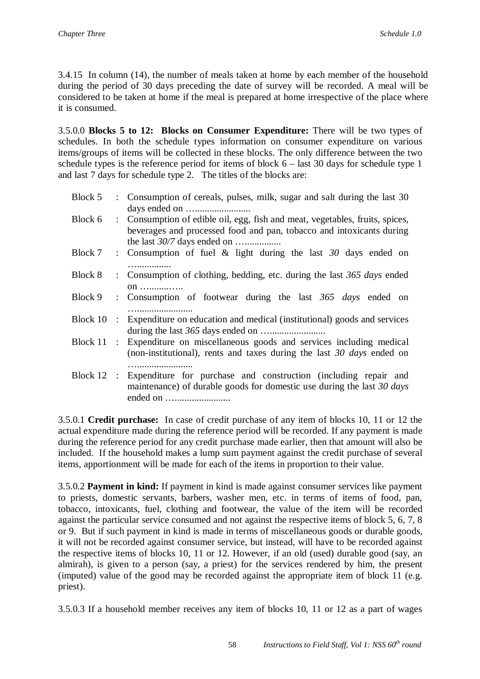3.4.15 In column (14), the number of meals taken at home by each member of the household during the period of 30 days preceding the date of survey will be recorded. A meal will be considered to be taken at home if the meal is prepared at home irrespective of the place where it is consumed.

3.5.0.0 **Blocks 5 to 12: Blocks on Consumer Expenditure:** There will be two types of schedules. In both the schedule types information on consumer expenditure on various items/groups of items will be collected in these blocks. The only difference between the two schedule types is the reference period for items of block  $6 -$  last 30 days for schedule type 1 and last 7 days for schedule type 2. The titles of the blocks are:

| Block 5      |                           | : Consumption of cereals, pulses, milk, sugar and salt during the last 30                                                                            |
|--------------|---------------------------|------------------------------------------------------------------------------------------------------------------------------------------------------|
| Block 6      |                           | : Consumption of edible oil, egg, fish and meat, vegetables, fruits, spices,<br>beverages and processed food and pan, tobacco and intoxicants during |
| Block 7      |                           | : Consumption of fuel $\&$ light during the last $30$ days ended on                                                                                  |
| Block 8      |                           | : Consumption of clothing, bedding, etc. during the last 365 days ended<br>on                                                                        |
| Block 9      |                           | : Consumption of footwear during the last 365 days ended on                                                                                          |
| Block 10     | $\mathbb{R}^{\mathbb{Z}}$ | Expenditure on education and medical (institutional) goods and services                                                                              |
| Block $11$ : |                           | Expenditure on miscellaneous goods and services including medical<br>(non-institutional), rents and taxes during the last 30 days ended on           |
| Block $12$ : |                           | Expenditure for purchase and construction (including repair and<br>maintenance) of durable goods for domestic use during the last $30 \, days$       |

3.5.0.1 **Credit purchase:** In case of credit purchase of any item of blocks 10, 11 or 12 the actual expenditure made during the reference period will be recorded. If any payment is made during the reference period for any credit purchase made earlier, then that amount will also be included. If the household makes a lump sum payment against the credit purchase of several items, apportionment will be made for each of the items in proportion to their value.

3.5.0.2 **Payment in kind:** If payment in kind is made against consumer services like payment to priests, domestic servants, barbers, washer men, etc. in terms of items of food, pan, tobacco, intoxicants, fuel, clothing and footwear, the value of the item will be recorded against the particular service consumed and not against the respective items of block 5, 6, 7, 8 or 9. But if such payment in kind is made in terms of miscellaneous goods or durable goods, it will not be recorded against consumer service, but instead, will have to be recorded against the respective items of blocks 10, 11 or 12. However, if an old (used) durable good (say, an almirah), is given to a person (say, a priest) for the services rendered by him, the present (imputed) value of the good may be recorded against the appropriate item of block 11 (e.g. priest).

3.5.0.3 If a household member receives any item of blocks 10, 11 or 12 as a part of wages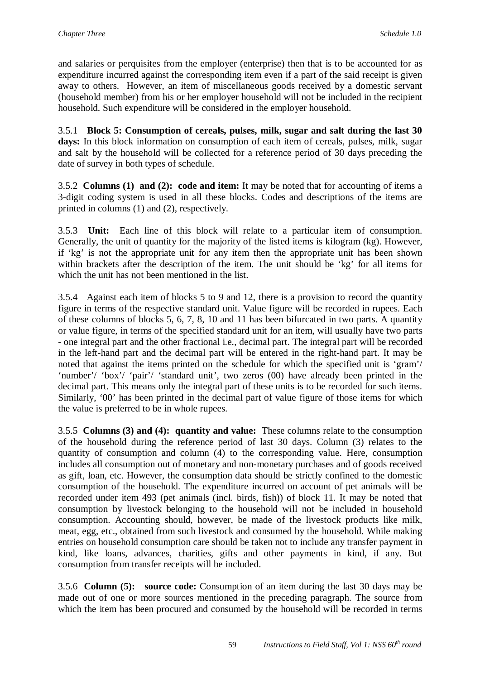and salaries or perquisites from the employer (enterprise) then that is to be accounted for as expenditure incurred against the corresponding item even if a part of the said receipt is given away to others. However, an item of miscellaneous goods received by a domestic servant (household member) from his or her employer household will not be included in the recipient household. Such expenditure will be considered in the employer household.

3.5.1 **Block 5: Consumption of cereals, pulses, milk, sugar and salt during the last 30**  days: In this block information on consumption of each item of cereals, pulses, milk, sugar and salt by the household will be collected for a reference period of 30 days preceding the date of survey in both types of schedule.

3.5.2 **Columns (1) and (2): code and item:** It may be noted that for accounting of items a 3-digit coding system is used in all these blocks. Codes and descriptions of the items are printed in columns (1) and (2), respectively.

3.5.3 **Unit:** Each line of this block will relate to a particular item of consumption. Generally, the unit of quantity for the majority of the listed items is kilogram (kg). However, if 'kg' is not the appropriate unit for any item then the appropriate unit has been shown within brackets after the description of the item. The unit should be 'kg' for all items for which the unit has not been mentioned in the list.

3.5.4 Against each item of blocks 5 to 9 and 12, there is a provision to record the quantity figure in terms of the respective standard unit. Value figure will be recorded in rupees. Each of these columns of blocks 5, 6, 7, 8, 10 and 11 has been bifurcated in two parts. A quantity or value figure, in terms of the specified standard unit for an item, will usually have two parts - one integral part and the other fractional i.e., decimal part. The integral part will be recorded in the left-hand part and the decimal part will be entered in the right-hand part. It may be noted that against the items printed on the schedule for which the specified unit is 'gram'/ 'number'/ 'box'/ 'pair'/ 'standard unit', two zeros (00) have already been printed in the decimal part. This means only the integral part of these units is to be recorded for such items. Similarly, '00' has been printed in the decimal part of value figure of those items for which the value is preferred to be in whole rupees.

3.5.5 **Columns (3) and (4): quantity and value:** These columns relate to the consumption of the household during the reference period of last 30 days. Column (3) relates to the quantity of consumption and column (4) to the corresponding value. Here, consumption includes all consumption out of monetary and non-monetary purchases and of goods received as gift, loan, etc. However, the consumption data should be strictly confined to the domestic consumption of the household. The expenditure incurred on account of pet animals will be recorded under item 493 (pet animals (incl. birds, fish)) of block 11. It may be noted that consumption by livestock belonging to the household will not be included in household consumption. Accounting should, however, be made of the livestock products like milk, meat, egg, etc., obtained from such livestock and consumed by the household. While making entries on household consumption care should be taken not to include any transfer payment in kind, like loans, advances, charities, gifts and other payments in kind, if any. But consumption from transfer receipts will be included.

3.5.6 **Column (5): source code:** Consumption of an item during the last 30 days may be made out of one or more sources mentioned in the preceding paragraph. The source from which the item has been procured and consumed by the household will be recorded in terms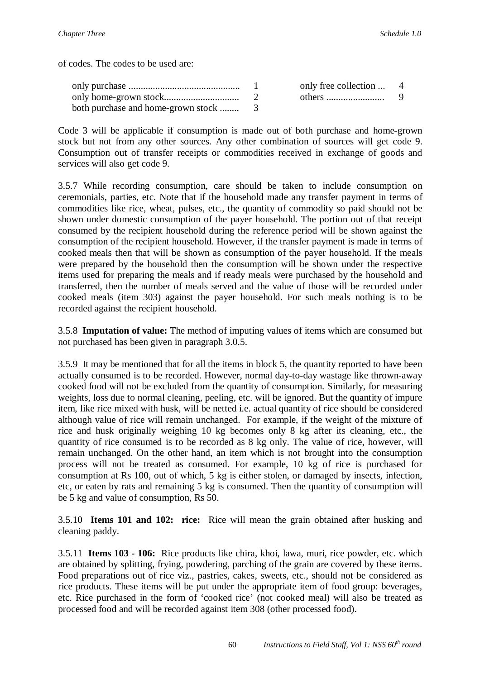of codes. The codes to be used are:

|  | only free collection  4 |  |
|--|-------------------------|--|
|  |                         |  |
|  |                         |  |

Code 3 will be applicable if consumption is made out of both purchase and home-grown stock but not from any other sources. Any other combination of sources will get code 9. Consumption out of transfer receipts or commodities received in exchange of goods and services will also get code 9.

3.5.7 While recording consumption, care should be taken to include consumption on ceremonials, parties, etc. Note that if the household made any transfer payment in terms of commodities like rice, wheat, pulses, etc., the quantity of commodity so paid should not be shown under domestic consumption of the payer household. The portion out of that receipt consumed by the recipient household during the reference period will be shown against the consumption of the recipient household. However, if the transfer payment is made in terms of cooked meals then that will be shown as consumption of the payer household. If the meals were prepared by the household then the consumption will be shown under the respective items used for preparing the meals and if ready meals were purchased by the household and transferred, then the number of meals served and the value of those will be recorded under cooked meals (item 303) against the payer household. For such meals nothing is to be recorded against the recipient household.

3.5.8 **Imputation of value:** The method of imputing values of items which are consumed but not purchased has been given in paragraph 3.0.5.

3.5.9 It may be mentioned that for all the items in block 5, the quantity reported to have been actually consumed is to be recorded. However, normal day-to-day wastage like thrown-away cooked food will not be excluded from the quantity of consumption. Similarly, for measuring weights, loss due to normal cleaning, peeling, etc. will be ignored. But the quantity of impure item, like rice mixed with husk, will be netted i.e. actual quantity of rice should be considered although value of rice will remain unchanged. For example, if the weight of the mixture of rice and husk originally weighing 10 kg becomes only 8 kg after its cleaning, etc., the quantity of rice consumed is to be recorded as 8 kg only. The value of rice, however, will remain unchanged. On the other hand, an item which is not brought into the consumption process will not be treated as consumed. For example, 10 kg of rice is purchased for consumption at Rs 100, out of which, 5 kg is either stolen, or damaged by insects, infection, etc, or eaten by rats and remaining 5 kg is consumed. Then the quantity of consumption will be 5 kg and value of consumption, Rs 50.

3.5.10 **Items 101 and 102: rice:** Rice will mean the grain obtained after husking and cleaning paddy.

3.5.11 **Items 103 - 106:** Rice products like chira, khoi, lawa, muri, rice powder, etc. which are obtained by splitting, frying, powdering, parching of the grain are covered by these items. Food preparations out of rice viz., pastries, cakes, sweets, etc., should not be considered as rice products. These items will be put under the appropriate item of food group: beverages, etc. Rice purchased in the form of 'cooked rice' (not cooked meal) will also be treated as processed food and will be recorded against item 308 (other processed food).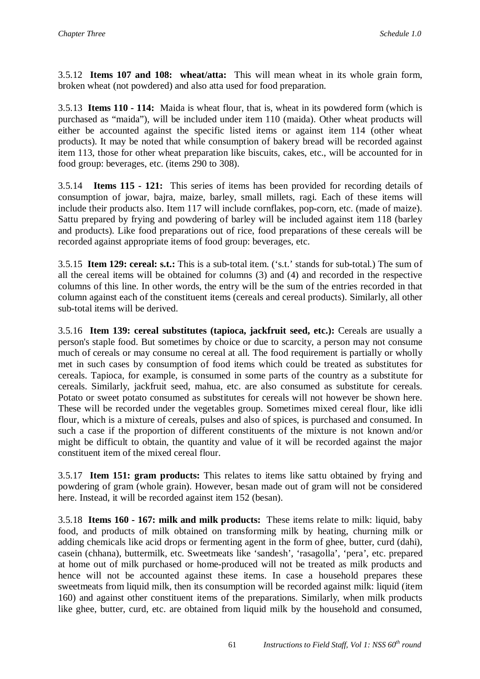3.5.12 **Items 107 and 108: wheat/atta:** This will mean wheat in its whole grain form, broken wheat (not powdered) and also atta used for food preparation.

3.5.13 **Items 110 - 114:** Maida is wheat flour, that is, wheat in its powdered form (which is purchased as "maida"), will be included under item 110 (maida). Other wheat products will either be accounted against the specific listed items or against item 114 (other wheat products). It may be noted that while consumption of bakery bread will be recorded against item 113, those for other wheat preparation like biscuits, cakes, etc., will be accounted for in food group: beverages, etc. (items 290 to 308).

3.5.14 **Items 115 - 121:** This series of items has been provided for recording details of consumption of jowar, bajra, maize, barley, small millets, ragi. Each of these items will include their products also. Item 117 will include cornflakes, pop-corn, etc. (made of maize). Sattu prepared by frying and powdering of barley will be included against item 118 (barley and products). Like food preparations out of rice, food preparations of these cereals will be recorded against appropriate items of food group: beverages, etc.

3.5.15 **Item 129: cereal: s.t.:** This is a sub-total item. ('s.t.' stands for sub-total.) The sum of all the cereal items will be obtained for columns (3) and (4) and recorded in the respective columns of this line. In other words, the entry will be the sum of the entries recorded in that column against each of the constituent items (cereals and cereal products). Similarly, all other sub-total items will be derived.

3.5.16 **Item 139: cereal substitutes (tapioca, jackfruit seed, etc.):** Cereals are usually a person's staple food. But sometimes by choice or due to scarcity, a person may not consume much of cereals or may consume no cereal at all. The food requirement is partially or wholly met in such cases by consumption of food items which could be treated as substitutes for cereals. Tapioca, for example, is consumed in some parts of the country as a substitute for cereals. Similarly, jackfruit seed, mahua, etc. are also consumed as substitute for cereals. Potato or sweet potato consumed as substitutes for cereals will not however be shown here. These will be recorded under the vegetables group. Sometimes mixed cereal flour, like idli flour, which is a mixture of cereals, pulses and also of spices, is purchased and consumed. In such a case if the proportion of different constituents of the mixture is not known and/or might be difficult to obtain, the quantity and value of it will be recorded against the major constituent item of the mixed cereal flour.

3.5.17 **Item 151: gram products:** This relates to items like sattu obtained by frying and powdering of gram (whole grain). However, besan made out of gram will not be considered here. Instead, it will be recorded against item 152 (besan).

3.5.18 **Items 160 - 167: milk and milk products:** These items relate to milk: liquid, baby food, and products of milk obtained on transforming milk by heating, churning milk or adding chemicals like acid drops or fermenting agent in the form of ghee, butter, curd (dahi), casein (chhana), buttermilk, etc. Sweetmeats like 'sandesh', 'rasagolla', 'pera', etc. prepared at home out of milk purchased or home-produced will not be treated as milk products and hence will not be accounted against these items. In case a household prepares these sweetmeats from liquid milk, then its consumption will be recorded against milk: liquid (item 160) and against other constituent items of the preparations. Similarly, when milk products like ghee, butter, curd, etc. are obtained from liquid milk by the household and consumed,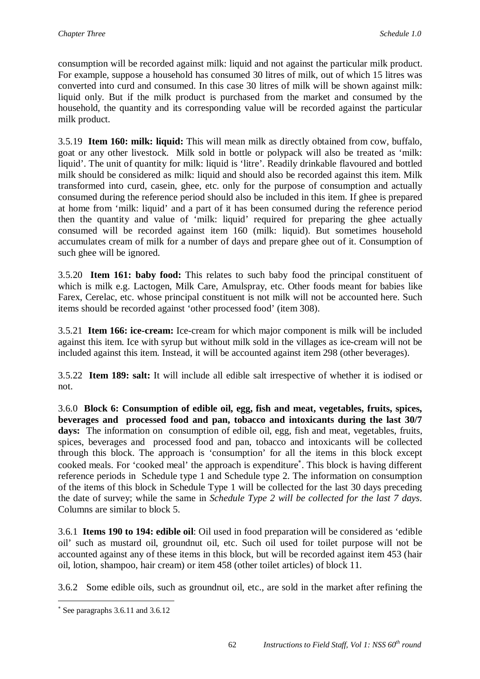consumption will be recorded against milk: liquid and not against the particular milk product. For example, suppose a household has consumed 30 litres of milk, out of which 15 litres was converted into curd and consumed. In this case 30 litres of milk will be shown against milk: liquid only. But if the milk product is purchased from the market and consumed by the household, the quantity and its corresponding value will be recorded against the particular milk product.

3.5.19 **Item 160: milk: liquid:** This will mean milk as directly obtained from cow, buffalo, goat or any other livestock. Milk sold in bottle or polypack will also be treated as 'milk: liquid'. The unit of quantity for milk: liquid is 'litre'. Readily drinkable flavoured and bottled milk should be considered as milk: liquid and should also be recorded against this item. Milk transformed into curd, casein, ghee, etc. only for the purpose of consumption and actually consumed during the reference period should also be included in this item. If ghee is prepared at home from 'milk: liquid' and a part of it has been consumed during the reference period then the quantity and value of 'milk: liquid' required for preparing the ghee actually consumed will be recorded against item 160 (milk: liquid). But sometimes household accumulates cream of milk for a number of days and prepare ghee out of it. Consumption of such ghee will be ignored.

3.5.20 **Item 161: baby food:** This relates to such baby food the principal constituent of which is milk e.g. Lactogen, Milk Care, Amulspray, etc. Other foods meant for babies like Farex, Cerelac, etc. whose principal constituent is not milk will not be accounted here. Such items should be recorded against 'other processed food' (item 308).

3.5.21 **Item 166: ice-cream:** Ice-cream for which major component is milk will be included against this item. Ice with syrup but without milk sold in the villages as ice-cream will not be included against this item. Instead, it will be accounted against item 298 (other beverages).

3.5.22 **Item 189: salt:** It will include all edible salt irrespective of whether it is iodised or not.

3.6.0 **Block 6: Consumption of edible oil, egg, fish and meat, vegetables, fruits, spices, beverages and processed food and pan, tobacco and intoxicants during the last 30/7 days:** The information on consumption of edible oil, egg, fish and meat, vegetables, fruits, spices, beverages and processed food and pan, tobacco and intoxicants will be collected through this block. The approach is 'consumption' for all the items in this block except cooked meals. For 'cooked meal' the approach is expenditure . This block is having different reference periods in Schedule type 1 and Schedule type 2. The information on consumption of the items of this block in Schedule Type 1 will be collected for the last 30 days preceding the date of survey; while the same in *Schedule Type 2 will be collected for the last 7 days*. Columns are similar to block 5.

3.6.1 **Items 190 to 194: edible oil**: Oil used in food preparation will be considered as 'edible oil' such as mustard oil, groundnut oil, etc. Such oil used for toilet purpose will not be accounted against any of these items in this block, but will be recorded against item 453 (hair oil, lotion, shampoo, hair cream) or item 458 (other toilet articles) of block 11.

3.6.2 Some edible oils, such as groundnut oil, etc., are sold in the market after refining the

 $\overline{a}$ 

See paragraphs 3.6.11 and 3.6.12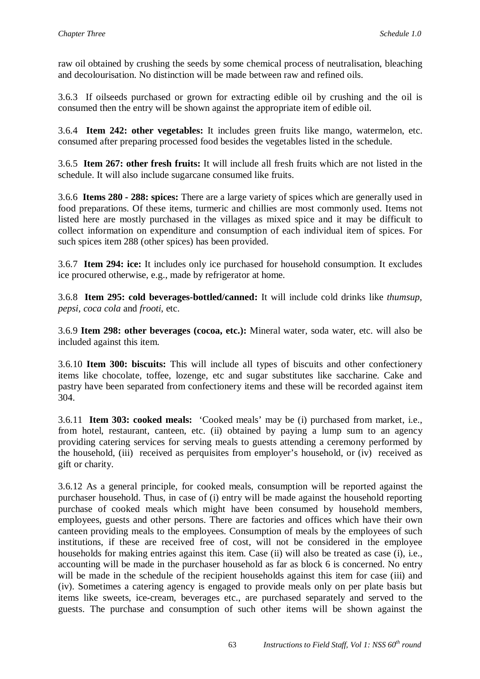raw oil obtained by crushing the seeds by some chemical process of neutralisation, bleaching and decolourisation. No distinction will be made between raw and refined oils.

3.6.3 If oilseeds purchased or grown for extracting edible oil by crushing and the oil is consumed then the entry will be shown against the appropriate item of edible oil.

3.6.4 **Item 242: other vegetables:** It includes green fruits like mango, watermelon, etc. consumed after preparing processed food besides the vegetables listed in the schedule.

3.6.5 **Item 267: other fresh fruits:** It will include all fresh fruits which are not listed in the schedule. It will also include sugarcane consumed like fruits.

3.6.6 **Items 280 - 288: spices:** There are a large variety of spices which are generally used in food preparations. Of these items, turmeric and chillies are most commonly used. Items not listed here are mostly purchased in the villages as mixed spice and it may be difficult to collect information on expenditure and consumption of each individual item of spices. For such spices item 288 (other spices) has been provided.

3.6.7 **Item 294: ice:** It includes only ice purchased for household consumption. It excludes ice procured otherwise, e.g., made by refrigerator at home.

3.6.8 **Item 295: cold beverages-bottled/canned:** It will include cold drinks like *thumsup, pepsi, coca cola* and *frooti*, etc.

3.6.9 **Item 298: other beverages (cocoa, etc.):** Mineral water, soda water, etc. will also be included against this item.

3.6.10 **Item 300: biscuits:** This will include all types of biscuits and other confectionery items like chocolate, toffee, lozenge, etc and sugar substitutes like saccharine. Cake and pastry have been separated from confectionery items and these will be recorded against item 304.

3.6.11 **Item 303: cooked meals:** 'Cooked meals' may be (i) purchased from market, i.e., from hotel, restaurant, canteen, etc. (ii) obtained by paying a lump sum to an agency providing catering services for serving meals to guests attending a ceremony performed by the household, (iii) received as perquisites from employer's household, or (iv) received as gift or charity.

3.6.12 As a general principle, for cooked meals, consumption will be reported against the purchaser household. Thus, in case of (i) entry will be made against the household reporting purchase of cooked meals which might have been consumed by household members, employees, guests and other persons. There are factories and offices which have their own canteen providing meals to the employees. Consumption of meals by the employees of such institutions, if these are received free of cost, will not be considered in the employee households for making entries against this item. Case (ii) will also be treated as case (i), i.e., accounting will be made in the purchaser household as far as block 6 is concerned. No entry will be made in the schedule of the recipient households against this item for case (iii) and (iv). Sometimes a catering agency is engaged to provide meals only on per plate basis but items like sweets, ice-cream, beverages etc., are purchased separately and served to the guests. The purchase and consumption of such other items will be shown against the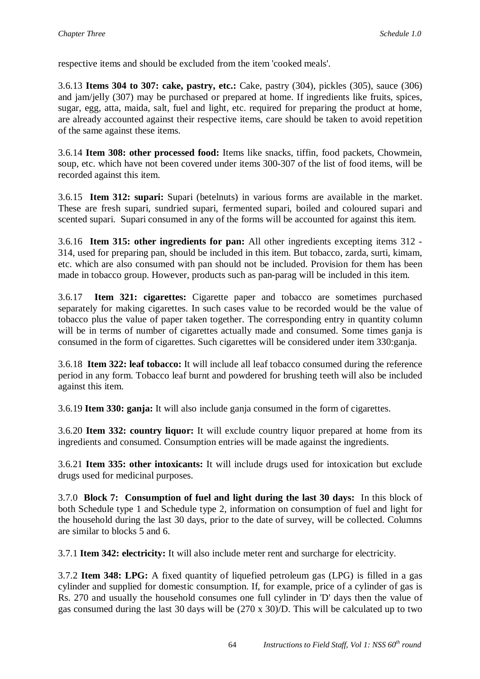respective items and should be excluded from the item 'cooked meals'.

3.6.13 **Items 304 to 307: cake, pastry, etc.:** Cake, pastry (304), pickles (305), sauce (306) and jam/jelly (307) may be purchased or prepared at home. If ingredients like fruits, spices, sugar, egg, atta, maida, salt, fuel and light, etc. required for preparing the product at home, are already accounted against their respective items, care should be taken to avoid repetition of the same against these items.

3.6.14 **Item 308: other processed food:** Items like snacks, tiffin, food packets, Chowmein, soup, etc. which have not been covered under items 300-307 of the list of food items, will be recorded against this item.

3.6.15 **Item 312: supari:** Supari (betelnuts) in various forms are available in the market. These are fresh supari, sundried supari, fermented supari, boiled and coloured supari and scented supari. Supari consumed in any of the forms will be accounted for against this item.

3.6.16 **Item 315: other ingredients for pan:** All other ingredients excepting items 312 - 314, used for preparing pan, should be included in this item. But tobacco, zarda, surti, kimam, etc. which are also consumed with pan should not be included. Provision for them has been made in tobacco group. However, products such as pan-parag will be included in this item.

3.6.17 **Item 321: cigarettes:** Cigarette paper and tobacco are sometimes purchased separately for making cigarettes. In such cases value to be recorded would be the value of tobacco plus the value of paper taken together. The corresponding entry in quantity column will be in terms of number of cigarettes actually made and consumed. Some times ganja is consumed in the form of cigarettes. Such cigarettes will be considered under item 330:ganja.

3.6.18 **Item 322: leaf tobacco:** It will include all leaf tobacco consumed during the reference period in any form. Tobacco leaf burnt and powdered for brushing teeth will also be included against this item.

3.6.19 **Item 330: ganja:** It will also include ganja consumed in the form of cigarettes.

3.6.20 **Item 332: country liquor:** It will exclude country liquor prepared at home from its ingredients and consumed. Consumption entries will be made against the ingredients.

3.6.21 **Item 335: other intoxicants:** It will include drugs used for intoxication but exclude drugs used for medicinal purposes.

3.7.0 **Block 7: Consumption of fuel and light during the last 30 days:** In this block of both Schedule type 1 and Schedule type 2, information on consumption of fuel and light for the household during the last 30 days, prior to the date of survey, will be collected. Columns are similar to blocks 5 and 6.

3.7.1 **Item 342: electricity:** It will also include meter rent and surcharge for electricity.

3.7.2 **Item 348: LPG:** A fixed quantity of liquefied petroleum gas (LPG) is filled in a gas cylinder and supplied for domestic consumption. If, for example, price of a cylinder of gas is Rs. 270 and usually the household consumes one full cylinder in 'D' days then the value of gas consumed during the last 30 days will be (270 x 30)/D. This will be calculated up to two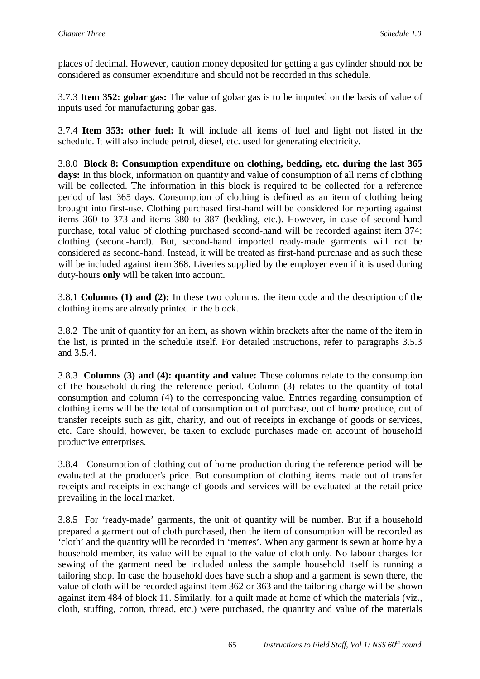places of decimal. However, caution money deposited for getting a gas cylinder should not be considered as consumer expenditure and should not be recorded in this schedule.

3.7.3 **Item 352: gobar gas:** The value of gobar gas is to be imputed on the basis of value of inputs used for manufacturing gobar gas.

3.7.4 **Item 353: other fuel:** It will include all items of fuel and light not listed in the schedule. It will also include petrol, diesel, etc. used for generating electricity.

3.8.0 **Block 8: Consumption expenditure on clothing, bedding, etc. during the last 365**  days: In this block, information on quantity and value of consumption of all items of clothing will be collected. The information in this block is required to be collected for a reference period of last 365 days. Consumption of clothing is defined as an item of clothing being brought into first-use. Clothing purchased first-hand will be considered for reporting against items 360 to 373 and items 380 to 387 (bedding, etc.). However, in case of second-hand purchase, total value of clothing purchased second-hand will be recorded against item 374: clothing (second-hand). But, second-hand imported ready-made garments will not be considered as second-hand. Instead, it will be treated as first-hand purchase and as such these will be included against item 368. Liveries supplied by the employer even if it is used during duty-hours **only** will be taken into account.

3.8.1 **Columns (1) and (2):** In these two columns, the item code and the description of the clothing items are already printed in the block.

3.8.2 The unit of quantity for an item, as shown within brackets after the name of the item in the list, is printed in the schedule itself. For detailed instructions, refer to paragraphs 3.5.3 and 3.5.4.

3.8.3 **Columns (3) and (4): quantity and value:** These columns relate to the consumption of the household during the reference period. Column (3) relates to the quantity of total consumption and column (4) to the corresponding value. Entries regarding consumption of clothing items will be the total of consumption out of purchase, out of home produce, out of transfer receipts such as gift, charity, and out of receipts in exchange of goods or services, etc. Care should, however, be taken to exclude purchases made on account of household productive enterprises.

3.8.4 Consumption of clothing out of home production during the reference period will be evaluated at the producer's price. But consumption of clothing items made out of transfer receipts and receipts in exchange of goods and services will be evaluated at the retail price prevailing in the local market.

3.8.5 For 'ready-made' garments, the unit of quantity will be number. But if a household prepared a garment out of cloth purchased, then the item of consumption will be recorded as 'cloth' and the quantity will be recorded in 'metres'. When any garment is sewn at home by a household member, its value will be equal to the value of cloth only. No labour charges for sewing of the garment need be included unless the sample household itself is running a tailoring shop. In case the household does have such a shop and a garment is sewn there, the value of cloth will be recorded against item 362 or 363 and the tailoring charge will be shown against item 484 of block 11. Similarly, for a quilt made at home of which the materials (viz., cloth, stuffing, cotton, thread, etc.) were purchased, the quantity and value of the materials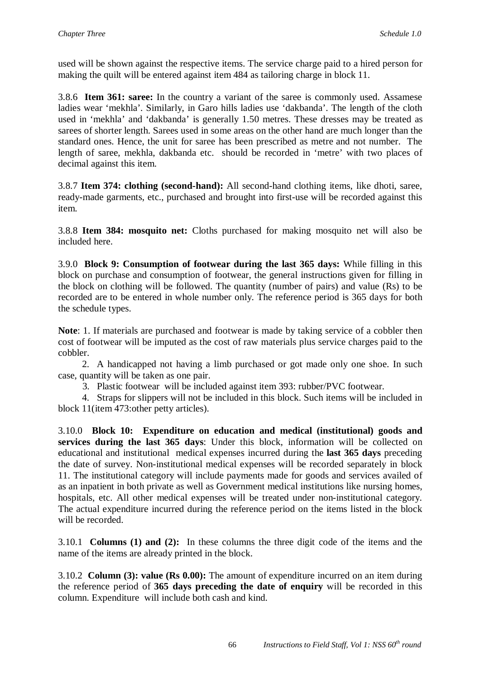used will be shown against the respective items. The service charge paid to a hired person for making the quilt will be entered against item 484 as tailoring charge in block 11.

3.8.6 **Item 361: saree:** In the country a variant of the saree is commonly used. Assamese ladies wear 'mekhla'. Similarly, in Garo hills ladies use 'dakbanda'. The length of the cloth used in 'mekhla' and 'dakbanda' is generally 1.50 metres. These dresses may be treated as sarees of shorter length. Sarees used in some areas on the other hand are much longer than the standard ones. Hence, the unit for saree has been prescribed as metre and not number. The length of saree, mekhla, dakbanda etc. should be recorded in 'metre' with two places of decimal against this item.

3.8.7 **Item 374: clothing (second-hand):** All second-hand clothing items, like dhoti, saree, ready-made garments, etc., purchased and brought into first-use will be recorded against this item.

3.8.8 **Item 384: mosquito net:** Cloths purchased for making mosquito net will also be included here.

3.9.0 **Block 9: Consumption of footwear during the last 365 days:** While filling in this block on purchase and consumption of footwear, the general instructions given for filling in the block on clothing will be followed. The quantity (number of pairs) and value (Rs) to be recorded are to be entered in whole number only. The reference period is 365 days for both the schedule types.

**Note**: 1. If materials are purchased and footwear is made by taking service of a cobbler then cost of footwear will be imputed as the cost of raw materials plus service charges paid to the cobbler.

 2. A handicapped not having a limb purchased or got made only one shoe. In such case, quantity will be taken as one pair.

3. Plastic footwear will be included against item 393: rubber/PVC footwear.

 4. Straps for slippers will not be included in this block. Such items will be included in block 11(item 473:other petty articles).

3.10.0 **Block 10: Expenditure on education and medical (institutional) goods and services during the last 365 days**: Under this block, information will be collected on educational and institutional medical expenses incurred during the **last 365 days** preceding the date of survey. Non-institutional medical expenses will be recorded separately in block 11. The institutional category will include payments made for goods and services availed of as an inpatient in both private as well as Government medical institutions like nursing homes, hospitals, etc. All other medical expenses will be treated under non-institutional category. The actual expenditure incurred during the reference period on the items listed in the block will be recorded.

3.10.1 **Columns (1) and (2):** In these columns the three digit code of the items and the name of the items are already printed in the block.

3.10.2 **Column (3): value (Rs 0.00):** The amount of expenditure incurred on an item during the reference period of **365 days preceding the date of enquiry** will be recorded in this column. Expenditure will include both cash and kind.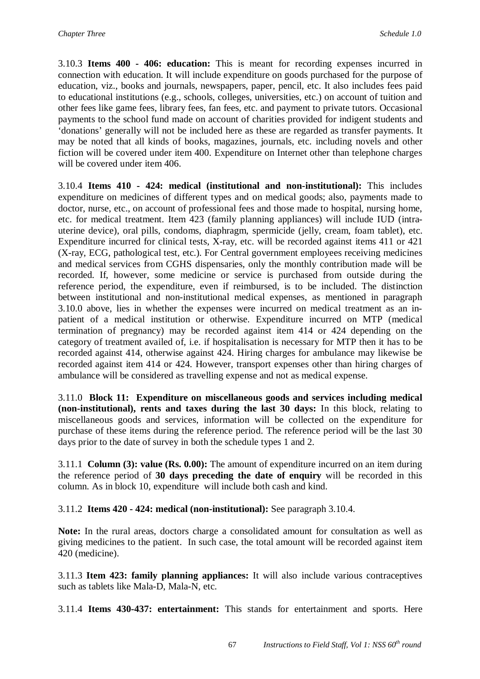3.10.3 **Items 400 - 406: education:** This is meant for recording expenses incurred in connection with education. It will include expenditure on goods purchased for the purpose of education, viz., books and journals, newspapers, paper, pencil, etc. It also includes fees paid to educational institutions (e.g., schools, colleges, universities, etc.) on account of tuition and other fees like game fees, library fees, fan fees, etc. and payment to private tutors. Occasional payments to the school fund made on account of charities provided for indigent students and 'donations' generally will not be included here as these are regarded as transfer payments. It may be noted that all kinds of books, magazines, journals, etc. including novels and other fiction will be covered under item 400. Expenditure on Internet other than telephone charges will be covered under item 406.

3.10.4 **Items 410 - 424: medical (institutional and non-institutional):** This includes expenditure on medicines of different types and on medical goods; also, payments made to doctor, nurse, etc., on account of professional fees and those made to hospital, nursing home, etc. for medical treatment. Item 423 (family planning appliances) will include IUD (intrauterine device), oral pills, condoms, diaphragm, spermicide (jelly, cream, foam tablet), etc. Expenditure incurred for clinical tests, X-ray, etc. will be recorded against items 411 or 421 (X-ray, ECG, pathological test, etc.). For Central government employees receiving medicines and medical services from CGHS dispensaries, only the monthly contribution made will be recorded. If, however, some medicine or service is purchased from outside during the reference period, the expenditure, even if reimbursed, is to be included. The distinction between institutional and non-institutional medical expenses, as mentioned in paragraph 3.10.0 above, lies in whether the expenses were incurred on medical treatment as an inpatient of a medical institution or otherwise. Expenditure incurred on MTP (medical termination of pregnancy) may be recorded against item 414 or 424 depending on the category of treatment availed of, i.e. if hospitalisation is necessary for MTP then it has to be recorded against 414, otherwise against 424. Hiring charges for ambulance may likewise be recorded against item 414 or 424. However, transport expenses other than hiring charges of ambulance will be considered as travelling expense and not as medical expense.

3.11.0 **Block 11: Expenditure on miscellaneous goods and services including medical (non-institutional), rents and taxes during the last 30 days:** In this block, relating to miscellaneous goods and services, information will be collected on the expenditure for purchase of these items during the reference period. The reference period will be the last 30 days prior to the date of survey in both the schedule types 1 and 2.

3.11.1 **Column (3): value (Rs. 0.00):** The amount of expenditure incurred on an item during the reference period of **30 days preceding the date of enquiry** will be recorded in this column. As in block 10, expenditure will include both cash and kind.

3.11.2 **Items 420 - 424: medical (non-institutional):** See paragraph 3.10.4.

**Note:** In the rural areas, doctors charge a consolidated amount for consultation as well as giving medicines to the patient. In such case, the total amount will be recorded against item 420 (medicine).

3.11.3 **Item 423: family planning appliances:** It will also include various contraceptives such as tablets like Mala-D, Mala-N, etc.

3.11.4 **Items 430-437: entertainment:** This stands for entertainment and sports. Here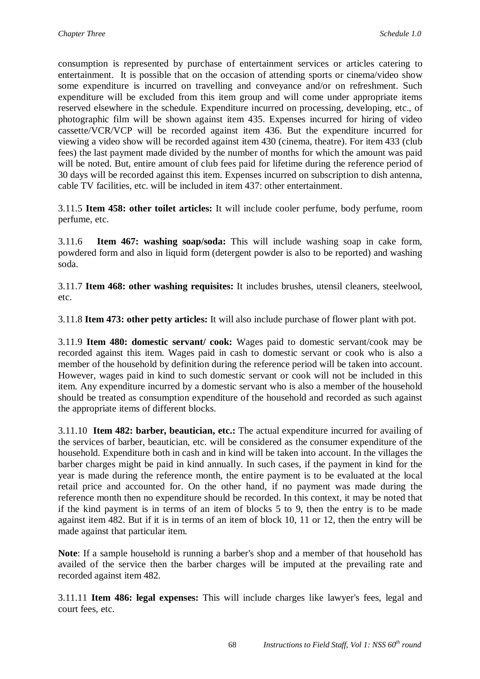consumption is represented by purchase of entertainment services or articles catering to entertainment. It is possible that on the occasion of attending sports or cinema/video show some expenditure is incurred on travelling and conveyance and/or on refreshment. Such expenditure will be excluded from this item group and will come under appropriate items reserved elsewhere in the schedule. Expenditure incurred on processing, developing, etc., of photographic film will be shown against item 435. Expenses incurred for hiring of video cassette/VCR/VCP will be recorded against item 436. But the expenditure incurred for viewing a video show will be recorded against item 430 (cinema, theatre). For item 433 (club fees) the last payment made divided by the number of months for which the amount was paid will be noted. But, entire amount of club fees paid for lifetime during the reference period of 30 days will be recorded against this item. Expenses incurred on subscription to dish antenna, cable TV facilities, etc. will be included in item 437: other entertainment.

3.11.5 **Item 458: other toilet articles:** It will include cooler perfume, body perfume, room perfume, etc.

3.11.6 **Item 467: washing soap/soda:** This will include washing soap in cake form, powdered form and also in liquid form (detergent powder is also to be reported) and washing soda.

3.11.7 **Item 468: other washing requisites:** It includes brushes, utensil cleaners, steelwool, etc.

3.11.8 **Item 473: other petty articles:** It will also include purchase of flower plant with pot.

3.11.9 **Item 480: domestic servant/ cook:** Wages paid to domestic servant/cook may be recorded against this item. Wages paid in cash to domestic servant or cook who is also a member of the household by definition during the reference period will be taken into account. However, wages paid in kind to such domestic servant or cook will not be included in this item. Any expenditure incurred by a domestic servant who is also a member of the household should be treated as consumption expenditure of the household and recorded as such against the appropriate items of different blocks.

3.11.10 **Item 482: barber, beautician, etc.:** The actual expenditure incurred for availing of the services of barber, beautician, etc. will be considered as the consumer expenditure of the household. Expenditure both in cash and in kind will be taken into account. In the villages the barber charges might be paid in kind annually. In such cases, if the payment in kind for the year is made during the reference month, the entire payment is to be evaluated at the local retail price and accounted for. On the other hand, if no payment was made during the reference month then no expenditure should be recorded. In this context, it may be noted that if the kind payment is in terms of an item of blocks 5 to 9, then the entry is to be made against item 482. But if it is in terms of an item of block 10, 11 or 12, then the entry will be made against that particular item.

**Note**: If a sample household is running a barber's shop and a member of that household has availed of the service then the barber charges will be imputed at the prevailing rate and recorded against item 482.

3.11.11 **Item 486: legal expenses:** This will include charges like lawyer's fees, legal and court fees, etc.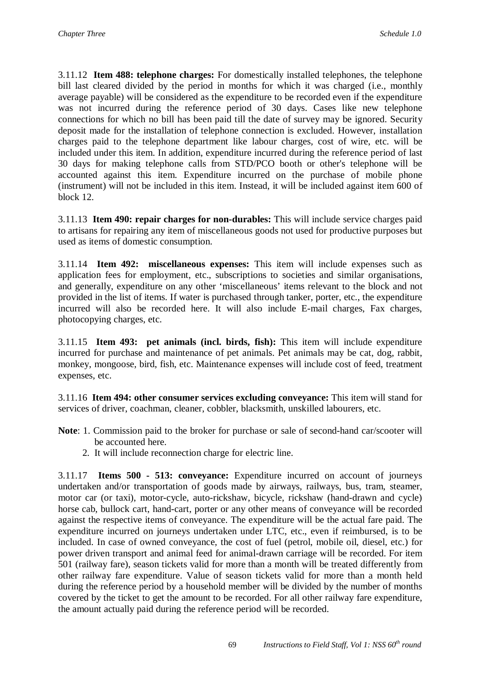3.11.12 **Item 488: telephone charges:** For domestically installed telephones, the telephone bill last cleared divided by the period in months for which it was charged (i.e., monthly average payable) will be considered as the expenditure to be recorded even if the expenditure was not incurred during the reference period of 30 days. Cases like new telephone connections for which no bill has been paid till the date of survey may be ignored. Security deposit made for the installation of telephone connection is excluded. However, installation charges paid to the telephone department like labour charges, cost of wire, etc. will be included under this item. In addition, expenditure incurred during the reference period of last 30 days for making telephone calls from STD/PCO booth or other's telephone will be accounted against this item. Expenditure incurred on the purchase of mobile phone (instrument) will not be included in this item. Instead, it will be included against item 600 of block 12.

3.11.13 **Item 490: repair charges for non-durables:** This will include service charges paid to artisans for repairing any item of miscellaneous goods not used for productive purposes but used as items of domestic consumption.

3.11.14 **Item 492: miscellaneous expenses:** This item will include expenses such as application fees for employment, etc., subscriptions to societies and similar organisations, and generally, expenditure on any other 'miscellaneous' items relevant to the block and not provided in the list of items. If water is purchased through tanker, porter, etc., the expenditure incurred will also be recorded here. It will also include E-mail charges, Fax charges, photocopying charges, etc.

3.11.15 **Item 493: pet animals (incl. birds, fish):** This item will include expenditure incurred for purchase and maintenance of pet animals. Pet animals may be cat, dog, rabbit, monkey, mongoose, bird, fish, etc. Maintenance expenses will include cost of feed, treatment expenses, etc.

3.11.16 **Item 494: other consumer services excluding conveyance:** This item will stand for services of driver, coachman, cleaner, cobbler, blacksmith, unskilled labourers, etc.

- **Note**: 1. Commission paid to the broker for purchase or sale of second-hand car/scooter will be accounted here.
	- 2. It will include reconnection charge for electric line.

3.11.17 **Items 500 - 513: conveyance:** Expenditure incurred on account of journeys undertaken and/or transportation of goods made by airways, railways, bus, tram, steamer, motor car (or taxi), motor-cycle, auto-rickshaw, bicycle, rickshaw (hand-drawn and cycle) horse cab, bullock cart, hand-cart, porter or any other means of conveyance will be recorded against the respective items of conveyance. The expenditure will be the actual fare paid. The expenditure incurred on journeys undertaken under LTC, etc., even if reimbursed, is to be included. In case of owned conveyance, the cost of fuel (petrol, mobile oil, diesel, etc.) for power driven transport and animal feed for animal-drawn carriage will be recorded. For item 501 (railway fare), season tickets valid for more than a month will be treated differently from other railway fare expenditure. Value of season tickets valid for more than a month held during the reference period by a household member will be divided by the number of months covered by the ticket to get the amount to be recorded. For all other railway fare expenditure, the amount actually paid during the reference period will be recorded.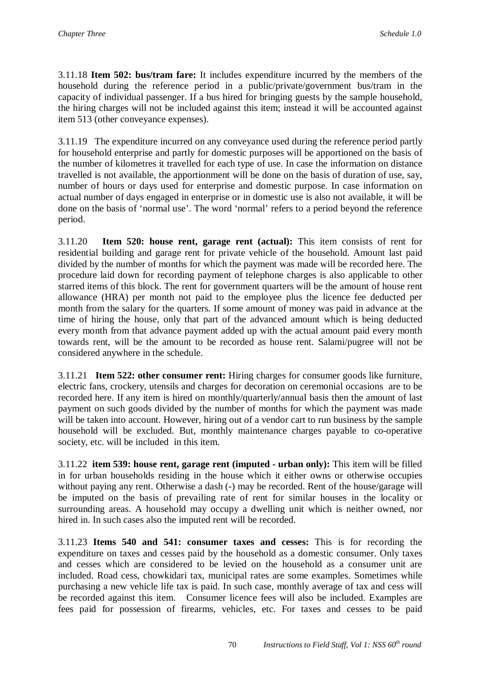3.11.18 **Item 502: bus/tram fare:** It includes expenditure incurred by the members of the household during the reference period in a public/private/government bus/tram in the capacity of individual passenger. If a bus hired for bringing guests by the sample household, the hiring charges will not be included against this item; instead it will be accounted against item 513 (other conveyance expenses).

3.11.19 The expenditure incurred on any conveyance used during the reference period partly for household enterprise and partly for domestic purposes will be apportioned on the basis of the number of kilometres it travelled for each type of use. In case the information on distance travelled is not available, the apportionment will be done on the basis of duration of use, say, number of hours or days used for enterprise and domestic purpose. In case information on actual number of days engaged in enterprise or in domestic use is also not available, it will be done on the basis of 'normal use'. The word 'normal' refers to a period beyond the reference period.

3.11.20 **Item 520: house rent, garage rent (actual):** This item consists of rent for residential building and garage rent for private vehicle of the household. Amount last paid divided by the number of months for which the payment was made will be recorded here. The procedure laid down for recording payment of telephone charges is also applicable to other starred items of this block. The rent for government quarters will be the amount of house rent allowance (HRA) per month not paid to the employee plus the licence fee deducted per month from the salary for the quarters. If some amount of money was paid in advance at the time of hiring the house, only that part of the advanced amount which is being deducted every month from that advance payment added up with the actual amount paid every month towards rent, will be the amount to be recorded as house rent. Salami/pugree will not be considered anywhere in the schedule.

3.11.21 **Item 522: other consumer rent:** Hiring charges for consumer goods like furniture, electric fans, crockery, utensils and charges for decoration on ceremonial occasions are to be recorded here. If any item is hired on monthly/quarterly/annual basis then the amount of last payment on such goods divided by the number of months for which the payment was made will be taken into account. However, hiring out of a vendor cart to run business by the sample household will be excluded. But, monthly maintenance charges payable to co-operative society, etc. will be included in this item.

3.11.22 **item 539: house rent, garage rent (imputed - urban only):** This item will be filled in for urban households residing in the house which it either owns or otherwise occupies without paying any rent. Otherwise a dash (-) may be recorded. Rent of the house/garage will be imputed on the basis of prevailing rate of rent for similar houses in the locality or surrounding areas. A household may occupy a dwelling unit which is neither owned, nor hired in. In such cases also the imputed rent will be recorded.

3.11.23 **Items 540 and 541: consumer taxes and cesses:** This is for recording the expenditure on taxes and cesses paid by the household as a domestic consumer. Only taxes and cesses which are considered to be levied on the household as a consumer unit are included. Road cess, chowkidari tax, municipal rates are some examples. Sometimes while purchasing a new vehicle life tax is paid. In such case, monthly average of tax and cess will be recorded against this item. Consumer licence fees will also be included. Examples are fees paid for possession of firearms, vehicles, etc. For taxes and cesses to be paid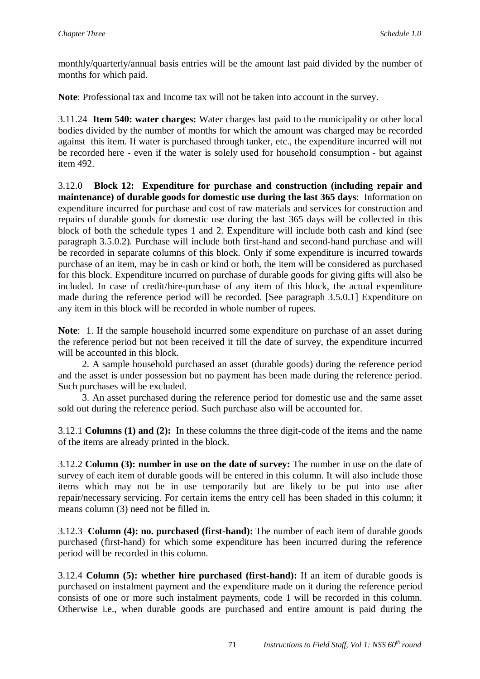monthly/quarterly/annual basis entries will be the amount last paid divided by the number of months for which paid.

**Note**: Professional tax and Income tax will not be taken into account in the survey.

3.11.24 **Item 540: water charges:** Water charges last paid to the municipality or other local bodies divided by the number of months for which the amount was charged may be recorded against this item. If water is purchased through tanker, etc., the expenditure incurred will not be recorded here - even if the water is solely used for household consumption - but against item 492.

3.12.0 **Block 12: Expenditure for purchase and construction (including repair and maintenance) of durable goods for domestic use during the last 365 days**: Information on expenditure incurred for purchase and cost of raw materials and services for construction and repairs of durable goods for domestic use during the last 365 days will be collected in this block of both the schedule types 1 and 2. Expenditure will include both cash and kind (see paragraph 3.5.0.2). Purchase will include both first-hand and second-hand purchase and will be recorded in separate columns of this block. Only if some expenditure is incurred towards purchase of an item, may be in cash or kind or both, the item will be considered as purchased for this block. Expenditure incurred on purchase of durable goods for giving gifts will also be included. In case of credit/hire-purchase of any item of this block, the actual expenditure made during the reference period will be recorded. [See paragraph 3.5.0.1] Expenditure on any item in this block will be recorded in whole number of rupees.

**Note**: 1. If the sample household incurred some expenditure on purchase of an asset during the reference period but not been received it till the date of survey, the expenditure incurred will be accounted in this block.

 2. A sample household purchased an asset (durable goods) during the reference period and the asset is under possession but no payment has been made during the reference period. Such purchases will be excluded.

 3. An asset purchased during the reference period for domestic use and the same asset sold out during the reference period. Such purchase also will be accounted for.

3.12.1 **Columns (1) and (2):** In these columns the three digit-code of the items and the name of the items are already printed in the block.

3.12.2 **Column (3): number in use on the date of survey:** The number in use on the date of survey of each item of durable goods will be entered in this column. It will also include those items which may not be in use temporarily but are likely to be put into use after repair/necessary servicing. For certain items the entry cell has been shaded in this column; it means column (3) need not be filled in.

3.12.3 **Column (4): no. purchased (first-hand):** The number of each item of durable goods purchased (first-hand) for which some expenditure has been incurred during the reference period will be recorded in this column.

3.12.4 **Column (5): whether hire purchased (first-hand):** If an item of durable goods is purchased on instalment payment and the expenditure made on it during the reference period consists of one or more such instalment payments, code 1 will be recorded in this column. Otherwise i.e., when durable goods are purchased and entire amount is paid during the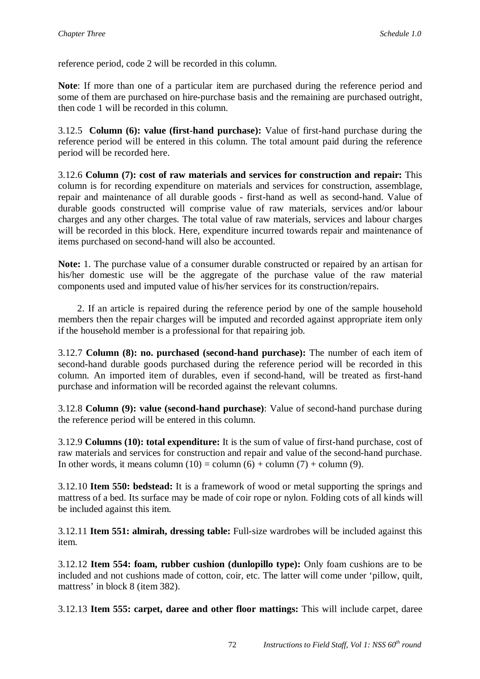reference period, code 2 will be recorded in this column.

**Note**: If more than one of a particular item are purchased during the reference period and some of them are purchased on hire-purchase basis and the remaining are purchased outright, then code 1 will be recorded in this column.

3.12.5 **Column (6): value (first-hand purchase):** Value of first-hand purchase during the reference period will be entered in this column. The total amount paid during the reference period will be recorded here.

3.12.6 **Column (7): cost of raw materials and services for construction and repair:** This column is for recording expenditure on materials and services for construction, assemblage, repair and maintenance of all durable goods - first-hand as well as second-hand. Value of durable goods constructed will comprise value of raw materials, services and/or labour charges and any other charges. The total value of raw materials, services and labour charges will be recorded in this block. Here, expenditure incurred towards repair and maintenance of items purchased on second-hand will also be accounted.

**Note:** 1. The purchase value of a consumer durable constructed or repaired by an artisan for his/her domestic use will be the aggregate of the purchase value of the raw material components used and imputed value of his/her services for its construction/repairs.

 2. If an article is repaired during the reference period by one of the sample household members then the repair charges will be imputed and recorded against appropriate item only if the household member is a professional for that repairing job.

3.12.7 **Column (8): no. purchased (second-hand purchase):** The number of each item of second-hand durable goods purchased during the reference period will be recorded in this column. An imported item of durables, even if second-hand, will be treated as first-hand purchase and information will be recorded against the relevant columns.

3.12.8 **Column (9): value (second-hand purchase)**: Value of second-hand purchase during the reference period will be entered in this column.

3.12.9 **Columns (10): total expenditure:** It is the sum of value of first-hand purchase, cost of raw materials and services for construction and repair and value of the second-hand purchase. In other words, it means column  $(10) =$  column  $(6) +$  column  $(7) +$  column  $(9)$ .

3.12.10 **Item 550: bedstead:** It is a framework of wood or metal supporting the springs and mattress of a bed. Its surface may be made of coir rope or nylon. Folding cots of all kinds will be included against this item.

3.12.11 **Item 551: almirah, dressing table:** Full-size wardrobes will be included against this item.

3.12.12 **Item 554: foam, rubber cushion (dunlopillo type):** Only foam cushions are to be included and not cushions made of cotton, coir, etc. The latter will come under 'pillow, quilt, mattress' in block 8 (item 382).

3.12.13 **Item 555: carpet, daree and other floor mattings:** This will include carpet, daree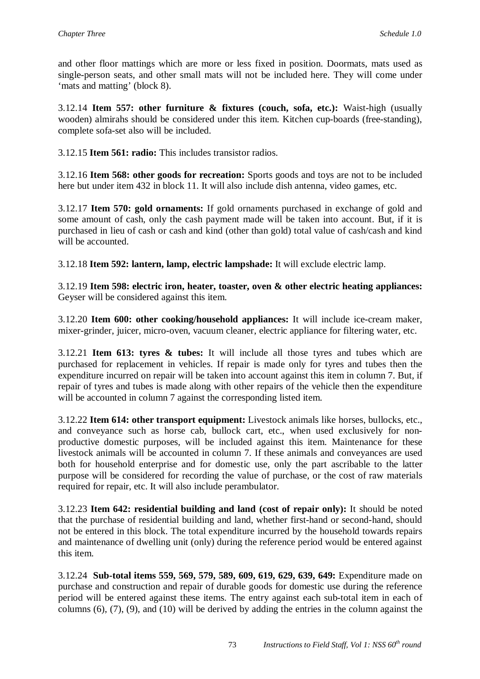and other floor mattings which are more or less fixed in position. Doormats, mats used as single-person seats, and other small mats will not be included here. They will come under 'mats and matting' (block 8).

3.12.14 **Item 557: other furniture & fixtures (couch, sofa, etc.):** Waist-high (usually wooden) almirahs should be considered under this item. Kitchen cup-boards (free-standing), complete sofa-set also will be included.

3.12.15 **Item 561: radio:** This includes transistor radios.

3.12.16 **Item 568: other goods for recreation:** Sports goods and toys are not to be included here but under item 432 in block 11. It will also include dish antenna, video games, etc.

3.12.17 **Item 570: gold ornaments:** If gold ornaments purchased in exchange of gold and some amount of cash, only the cash payment made will be taken into account. But, if it is purchased in lieu of cash or cash and kind (other than gold) total value of cash/cash and kind will be accounted.

3.12.18 **Item 592: lantern, lamp, electric lampshade:** It will exclude electric lamp.

3.12.19 **Item 598: electric iron, heater, toaster, oven & other electric heating appliances:** Geyser will be considered against this item.

3.12.20 **Item 600: other cooking/household appliances:** It will include ice-cream maker, mixer-grinder, juicer, micro-oven, vacuum cleaner, electric appliance for filtering water, etc.

3.12.21 **Item 613: tyres & tubes:** It will include all those tyres and tubes which are purchased for replacement in vehicles. If repair is made only for tyres and tubes then the expenditure incurred on repair will be taken into account against this item in column 7. But, if repair of tyres and tubes is made along with other repairs of the vehicle then the expenditure will be accounted in column 7 against the corresponding listed item.

3.12.22 **Item 614: other transport equipment:** Livestock animals like horses, bullocks, etc., and conveyance such as horse cab, bullock cart, etc., when used exclusively for nonproductive domestic purposes, will be included against this item. Maintenance for these livestock animals will be accounted in column 7. If these animals and conveyances are used both for household enterprise and for domestic use, only the part ascribable to the latter purpose will be considered for recording the value of purchase, or the cost of raw materials required for repair, etc. It will also include perambulator.

3.12.23 **Item 642: residential building and land (cost of repair only):** It should be noted that the purchase of residential building and land, whether first-hand or second-hand, should not be entered in this block. The total expenditure incurred by the household towards repairs and maintenance of dwelling unit (only) during the reference period would be entered against this item.

3.12.24 **Sub-total items 559, 569, 579, 589, 609, 619, 629, 639, 649:** Expenditure made on purchase and construction and repair of durable goods for domestic use during the reference period will be entered against these items. The entry against each sub-total item in each of columns (6), (7), (9), and (10) will be derived by adding the entries in the column against the